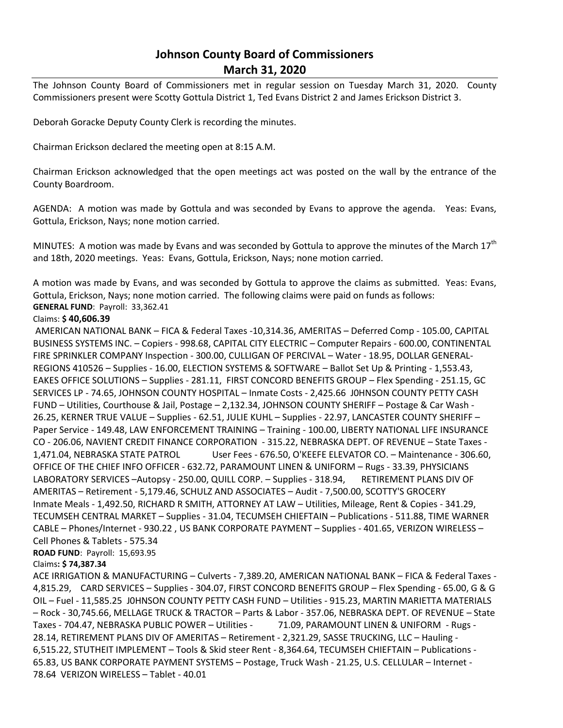## **Johnson County Board of Commissioners March 31, 2020**

The Johnson County Board of Commissioners met in regular session on Tuesday March 31, 2020. County Commissioners present were Scotty Gottula District 1, Ted Evans District 2 and James Erickson District 3.

Deborah Goracke Deputy County Clerk is recording the minutes.

Chairman Erickson declared the meeting open at 8:15 A.M.

Chairman Erickson acknowledged that the open meetings act was posted on the wall by the entrance of the County Boardroom.

AGENDA: A motion was made by Gottula and was seconded by Evans to approve the agenda. Yeas: Evans, Gottula, Erickson, Nays; none motion carried.

MINUTES: A motion was made by Evans and was seconded by Gottula to approve the minutes of the March  $17^{th}$ and 18th, 2020 meetings. Yeas: Evans, Gottula, Erickson, Nays; none motion carried.

A motion was made by Evans, and was seconded by Gottula to approve the claims as submitted. Yeas: Evans, Gottula, Erickson, Nays; none motion carried. The following claims were paid on funds as follows: **GENERAL FUND**: Payroll: 33,362.41

## Claims: **\$ 40,606.39**

AMERICAN NATIONAL BANK – FICA & Federal Taxes -10,314.36, AMERITAS – Deferred Comp - 105.00, CAPITAL BUSINESS SYSTEMS INC. – Copiers - 998.68, CAPITAL CITY ELECTRIC – Computer Repairs - 600.00, CONTINENTAL FIRE SPRINKLER COMPANY Inspection - 300.00, CULLIGAN OF PERCIVAL – Water - 18.95, DOLLAR GENERAL-REGIONS 410526 – Supplies - 16.00, ELECTION SYSTEMS & SOFTWARE – Ballot Set Up & Printing - 1,553.43, EAKES OFFICE SOLUTIONS – Supplies - 281.11, FIRST CONCORD BENEFITS GROUP – Flex Spending - 251.15, GC SERVICES LP - 74.65, JOHNSON COUNTY HOSPITAL – Inmate Costs - 2,425.66 J0HNSON COUNTY PETTY CASH FUND – Utilities, Courthouse & Jail, Postage – 2,132.34, JOHNSON COUNTY SHERIFF – Postage & Car Wash - 26.25, KERNER TRUE VALUE – Supplies - 62.51, JULIE KUHL – Supplies - 22.97, LANCASTER COUNTY SHERIFF – Paper Service - 149.48, LAW ENFORCEMENT TRAINING – Training - 100.00, LIBERTY NATIONAL LIFE INSURANCE CO - 206.06, NAVIENT CREDIT FINANCE CORPORATION - 315.22, NEBRASKA DEPT. OF REVENUE – State Taxes - 1,471.04, NEBRASKA STATE PATROL User Fees - 676.50, O'KEEFE ELEVATOR CO. – Maintenance - 306.60, OFFICE OF THE CHIEF INFO OFFICER - 632.72, PARAMOUNT LINEN & UNIFORM – Rugs - 33.39, PHYSICIANS LABORATORY SERVICES -Autopsy - 250.00, QUILL CORP. - Supplies - 318.94, RETIREMENT PLANS DIV OF AMERITAS – Retirement - 5,179.46, SCHULZ AND ASSOCIATES – Audit - 7,500.00, SCOTTY'S GROCERY Inmate Meals - 1,492.50, RICHARD R SMITH, ATTORNEY AT LAW – Utilities, Mileage, Rent & Copies - 341.29, TECUMSEH CENTRAL MARKET – Supplies - 31.04, TECUMSEH CHIEFTAIN – Publications - 511.88, TIME WARNER CABLE – Phones/Internet - 930.22 , US BANK CORPORATE PAYMENT – Supplies - 401.65, VERIZON WIRELESS – Cell Phones & Tablets - 575.34

**ROAD FUND**: Payroll: 15,693.95

## Claims**: \$ 74,387.34**

ACE IRRIGATION & MANUFACTURING – Culverts - 7,389.20, AMERICAN NATIONAL BANK – FICA & Federal Taxes - 4,815.29, CARD SERVICES – Supplies - 304.07, FIRST CONCORD BENEFITS GROUP – Flex Spending - 65.00, G & G OIL – Fuel - 11,585.25 J0HNSON COUNTY PETTY CASH FUND – Utilities - 915.23, MARTIN MARIETTA MATERIALS – Rock - 30,745.66, MELLAGE TRUCK & TRACTOR – Parts & Labor - 357.06, NEBRASKA DEPT. OF REVENUE – State Taxes - 704.47, NEBRASKA PUBLIC POWER - Utilities - 71.09, PARAMOUNT LINEN & UNIFORM - Rugs -28.14, RETIREMENT PLANS DIV OF AMERITAS – Retirement - 2,321.29, SASSE TRUCKING, LLC – Hauling - 6,515.22, STUTHEIT IMPLEMENT – Tools & Skid steer Rent - 8,364.64, TECUMSEH CHIEFTAIN – Publications - 65.83, US BANK CORPORATE PAYMENT SYSTEMS – Postage, Truck Wash - 21.25, U.S. CELLULAR – Internet - 78.64 VERIZON WIRELESS – Tablet - 40.01